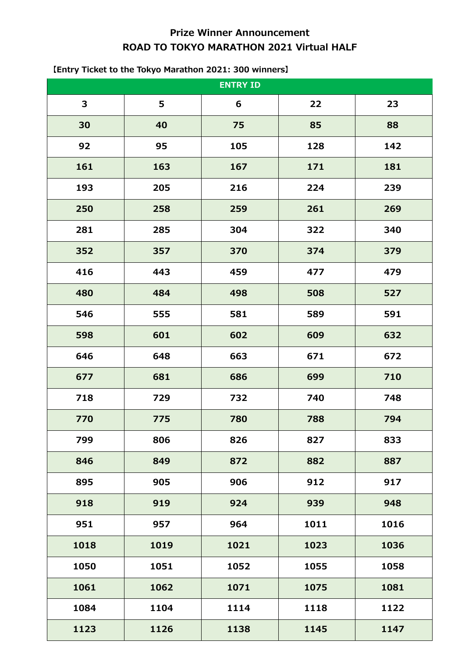# **Prize Winner Announcement ROAD TO TOKYO MARATHON 2021 Virtual HALF**

| <b>ENTRY ID</b> |      |      |      |      |
|-----------------|------|------|------|------|
| 3               | 5    | 6    | 22   | 23   |
| 30              | 40   | 75   | 85   | 88   |
| 92              | 95   | 105  | 128  | 142  |
| 161             | 163  | 167  | 171  | 181  |
| 193             | 205  | 216  | 224  | 239  |
| 250             | 258  | 259  | 261  | 269  |
| 281             | 285  | 304  | 322  | 340  |
| 352             | 357  | 370  | 374  | 379  |
| 416             | 443  | 459  | 477  | 479  |
| 480             | 484  | 498  | 508  | 527  |
| 546             | 555  | 581  | 589  | 591  |
| 598             | 601  | 602  | 609  | 632  |
| 646             | 648  | 663  | 671  | 672  |
| 677             | 681  | 686  | 699  | 710  |
| 718             | 729  | 732  | 740  | 748  |
| 770             | 775  | 780  | 788  | 794  |
| 799             | 806  | 826  | 827  | 833  |
| 846             | 849  | 872  | 882  | 887  |
| 895             | 905  | 906  | 912  | 917  |
| 918             | 919  | 924  | 939  | 948  |
| 951             | 957  | 964  | 1011 | 1016 |
| 1018            | 1019 | 1021 | 1023 | 1036 |
| 1050            | 1051 | 1052 | 1055 | 1058 |
| 1061            | 1062 | 1071 | 1075 | 1081 |
| 1084            | 1104 | 1114 | 1118 | 1122 |
| 1123            | 1126 | 1138 | 1145 | 1147 |

## **【Entry Ticket to the Tokyo Marathon 2021: 300 winners】**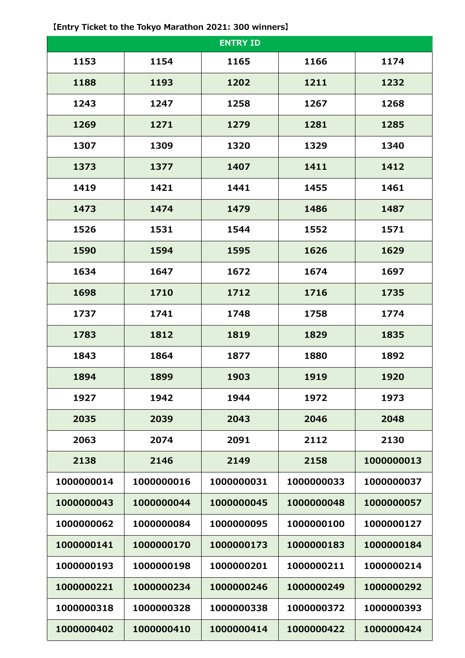|            |            | <b>ENTRY ID</b> |            |            |
|------------|------------|-----------------|------------|------------|
| 1153       | 1154       | 1165            | 1166       | 1174       |
| 1188       | 1193       | 1202            | 1211       | 1232       |
| 1243       | 1247       | 1258            | 1267       | 1268       |
| 1269       | 1271       | 1279            | 1281       | 1285       |
| 1307       | 1309       | 1320            | 1329       | 1340       |
| 1373       | 1377       | 1407            | 1411       | 1412       |
| 1419       | 1421       | 1441            | 1455       | 1461       |
| 1473       | 1474       | 1479            | 1486       | 1487       |
| 1526       | 1531       | 1544            | 1552       | 1571       |
| 1590       | 1594       | 1595            | 1626       | 1629       |
| 1634       | 1647       | 1672            | 1674       | 1697       |
| 1698       | 1710       | 1712            | 1716       | 1735       |
| 1737       | 1741       | 1748            | 1758       | 1774       |
| 1783       | 1812       | 1819            | 1829       | 1835       |
| 1843       | 1864       | 1877            | 1880       | 1892       |
| 1894       | 1899       | 1903            | 1919       | 1920       |
| 1927       | 1942       | 1944            | 1972       | 1973       |
| 2035       | 2039       | 2043            | 2046       | 2048       |
| 2063       | 2074       | 2091            | 2112       | 2130       |
| 2138       | 2146       | 2149            | 2158       | 1000000013 |
| 1000000014 | 1000000016 | 1000000031      | 1000000033 | 1000000037 |
| 1000000043 | 1000000044 | 1000000045      | 1000000048 | 1000000057 |
| 1000000062 | 1000000084 | 1000000095      | 1000000100 | 1000000127 |
| 1000000141 | 1000000170 | 1000000173      | 1000000183 | 1000000184 |
| 1000000193 | 1000000198 | 1000000201      | 1000000211 | 1000000214 |
| 1000000221 | 1000000234 | 1000000246      | 1000000249 | 1000000292 |
| 1000000318 | 1000000328 | 1000000338      | 1000000372 | 1000000393 |
| 1000000402 | 1000000410 | 1000000414      | 1000000422 | 1000000424 |